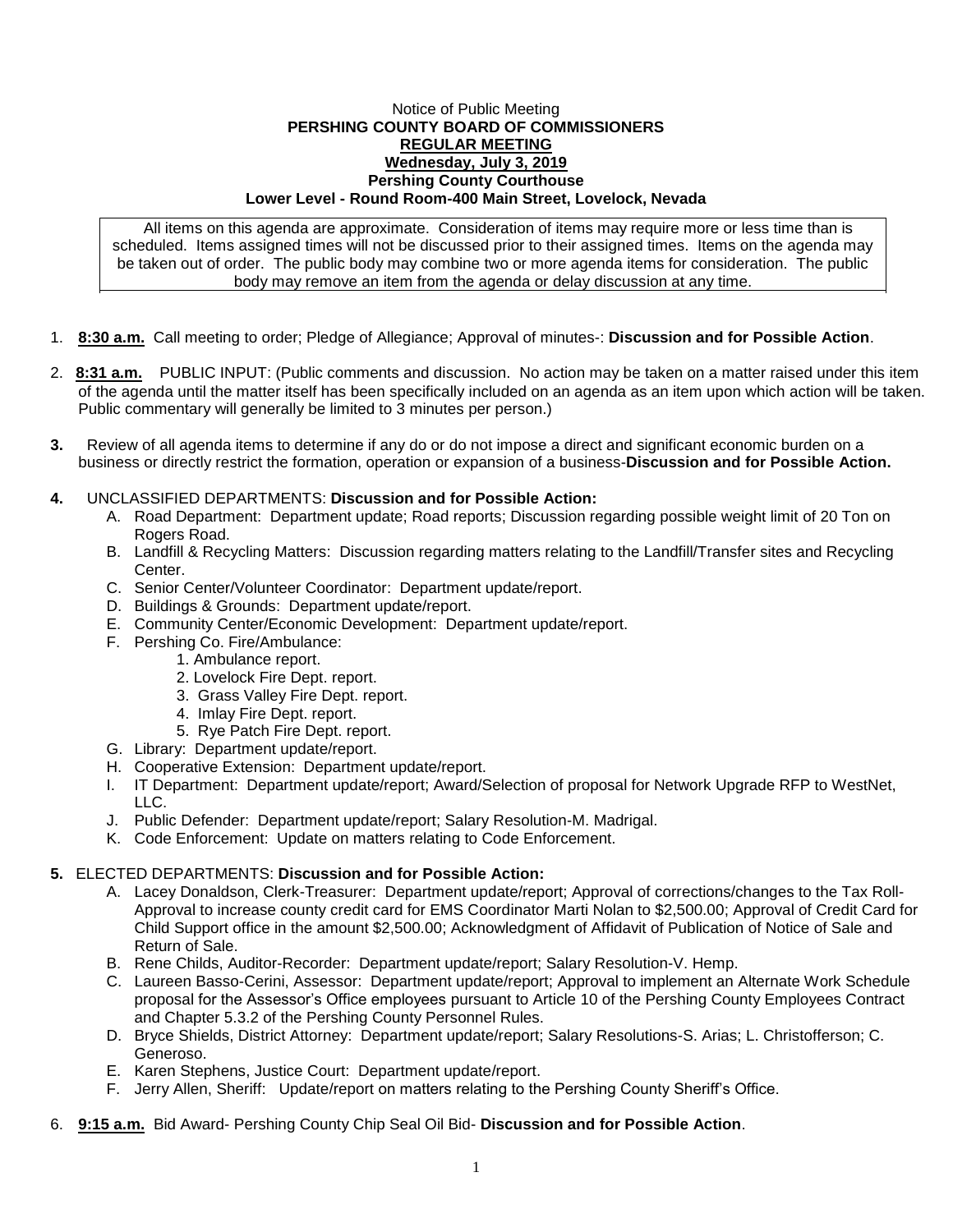## Notice of Public Meeting **PERSHING COUNTY BOARD OF COMMISSIONERS REGULAR MEETING Wednesday, July 3, 2019 Pershing County Courthouse Lower Level - Round Room-400 Main Street, Lovelock, Nevada**

All items on this agenda are approximate. Consideration of items may require more or less time than is scheduled. Items assigned times will not be discussed prior to their assigned times. Items on the agenda may be taken out of order. The public body may combine two or more agenda items for consideration. The public body may remove an item from the agenda or delay discussion at any time.

- 1. **8:30 a.m.** Call meeting to order; Pledge of Allegiance; Approval of minutes-: **Discussion and for Possible Action**.
- 2. **8:31 a.m.** PUBLIC INPUT: (Public comments and discussion. No action may be taken on a matter raised under this item of the agenda until the matter itself has been specifically included on an agenda as an item upon which action will be taken. Public commentary will generally be limited to 3 minutes per person.)
- **3.** Review of all agenda items to determine if any do or do not impose a direct and significant economic burden on a business or directly restrict the formation, operation or expansion of a business-**Discussion and for Possible Action.**
- **4.** UNCLASSIFIED DEPARTMENTS: **Discussion and for Possible Action:**
	- A. Road Department: Department update; Road reports; Discussion regarding possible weight limit of 20 Ton on Rogers Road.
	- B. Landfill & Recycling Matters: Discussion regarding matters relating to the Landfill/Transfer sites and Recycling Center.
	- C. Senior Center/Volunteer Coordinator: Department update/report.
	- D. Buildings & Grounds: Department update/report.
	- E. Community Center/Economic Development: Department update/report.
	- F. Pershing Co. Fire/Ambulance:
		- 1. Ambulance report.
			- 2. Lovelock Fire Dept. report.
			- 3. Grass Valley Fire Dept. report.
			- 4. Imlay Fire Dept. report.
		- 5. Rye Patch Fire Dept. report.
	- G. Library: Department update/report.
	- H. Cooperative Extension: Department update/report.
	- I. IT Department: Department update/report; Award/Selection of proposal for Network Upgrade RFP to WestNet, LLC.
	- J. Public Defender: Department update/report; Salary Resolution-M. Madrigal.
	- K. Code Enforcement: Update on matters relating to Code Enforcement.

## **5.** ELECTED DEPARTMENTS: **Discussion and for Possible Action:**

- A. Lacey Donaldson, Clerk-Treasurer: Department update/report; Approval of corrections/changes to the Tax Roll-Approval to increase county credit card for EMS Coordinator Marti Nolan to \$2,500.00; Approval of Credit Card for Child Support office in the amount \$2,500.00; Acknowledgment of Affidavit of Publication of Notice of Sale and Return of Sale.
- B. Rene Childs, Auditor-Recorder: Department update/report; Salary Resolution-V. Hemp.
- C. Laureen Basso-Cerini, Assessor: Department update/report; Approval to implement an Alternate Work Schedule proposal for the Assessor's Office employees pursuant to Article 10 of the Pershing County Employees Contract and Chapter 5.3.2 of the Pershing County Personnel Rules.
- D. Bryce Shields, District Attorney: Department update/report; Salary Resolutions-S. Arias; L. Christofferson; C. Generoso.
- E. Karen Stephens, Justice Court: Department update/report.
- F. Jerry Allen, Sheriff: Update/report on matters relating to the Pershing County Sheriff's Office.
- 6. **9:15 a.m.** Bid Award- Pershing County Chip Seal Oil Bid- **Discussion and for Possible Action**.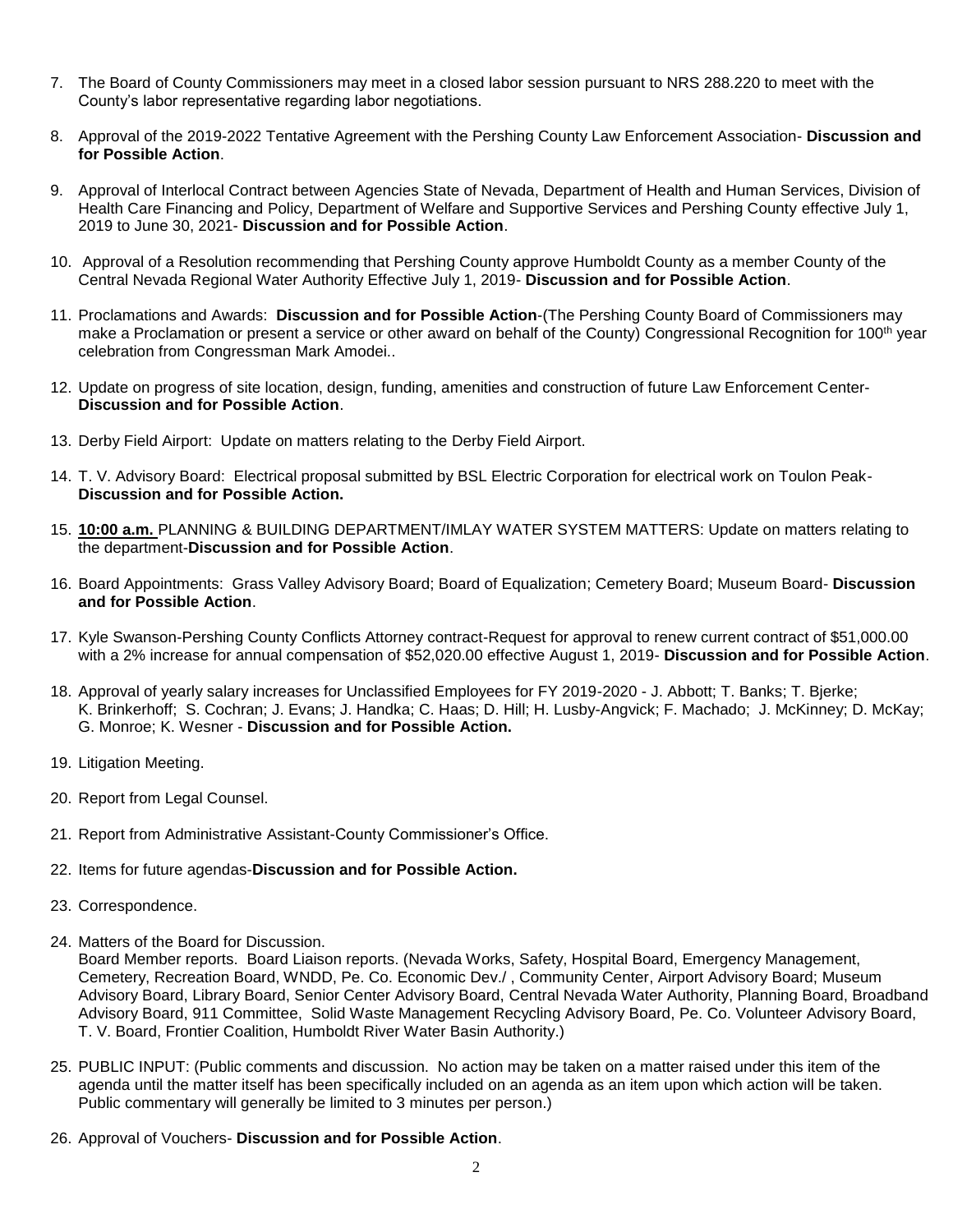- 7. The Board of County Commissioners may meet in a closed labor session pursuant to NRS 288.220 to meet with the County's labor representative regarding labor negotiations.
- 8. Approval of the 2019-2022 Tentative Agreement with the Pershing County Law Enforcement Association- **Discussion and for Possible Action**.
- 9. Approval of Interlocal Contract between Agencies State of Nevada, Department of Health and Human Services, Division of Health Care Financing and Policy, Department of Welfare and Supportive Services and Pershing County effective July 1, 2019 to June 30, 2021- **Discussion and for Possible Action**.
- 10. Approval of a Resolution recommending that Pershing County approve Humboldt County as a member County of the Central Nevada Regional Water Authority Effective July 1, 2019- **Discussion and for Possible Action**.
- 11. Proclamations and Awards: **Discussion and for Possible Action**-(The Pershing County Board of Commissioners may make a Proclamation or present a service or other award on behalf of the County) Congressional Recognition for 100<sup>th</sup> year celebration from Congressman Mark Amodei..
- 12. Update on progress of site location, design, funding, amenities and construction of future Law Enforcement Center-**Discussion and for Possible Action**.
- 13. Derby Field Airport: Update on matters relating to the Derby Field Airport.
- 14. T. V. Advisory Board: Electrical proposal submitted by BSL Electric Corporation for electrical work on Toulon Peak-**Discussion and for Possible Action.**
- 15. **10:00 a.m.** PLANNING & BUILDING DEPARTMENT/IMLAY WATER SYSTEM MATTERS: Update on matters relating to the department-**Discussion and for Possible Action**.
- 16. Board Appointments: Grass Valley Advisory Board; Board of Equalization; Cemetery Board; Museum Board- **Discussion and for Possible Action**.
- 17. Kyle Swanson-Pershing County Conflicts Attorney contract-Request for approval to renew current contract of \$51,000.00 with a 2% increase for annual compensation of \$52,020.00 effective August 1, 2019- **Discussion and for Possible Action**.
- 18. Approval of yearly salary increases for Unclassified Employees for FY 2019-2020 J. Abbott; T. Banks; T. Bjerke; K. Brinkerhoff; S. Cochran; J. Evans; J. Handka; C. Haas; D. Hill; H. Lusby-Angvick; F. Machado; J. McKinney; D. McKay; G. Monroe; K. Wesner - **Discussion and for Possible Action.**
- 19. Litigation Meeting.
- 20. Report from Legal Counsel.
- 21. Report from Administrative Assistant-County Commissioner's Office.
- 22. Items for future agendas-**Discussion and for Possible Action.**
- 23. Correspondence.
- 24. Matters of the Board for Discussion.

Board Member reports. Board Liaison reports. (Nevada Works, Safety, Hospital Board, Emergency Management, Cemetery, Recreation Board, WNDD, Pe. Co. Economic Dev./ , Community Center, Airport Advisory Board; Museum Advisory Board, Library Board, Senior Center Advisory Board, Central Nevada Water Authority, Planning Board, Broadband Advisory Board, 911 Committee, Solid Waste Management Recycling Advisory Board, Pe. Co. Volunteer Advisory Board, T. V. Board, Frontier Coalition, Humboldt River Water Basin Authority.)

- 25. PUBLIC INPUT: (Public comments and discussion. No action may be taken on a matter raised under this item of the agenda until the matter itself has been specifically included on an agenda as an item upon which action will be taken. Public commentary will generally be limited to 3 minutes per person.)
- 26. Approval of Vouchers- **Discussion and for Possible Action**.